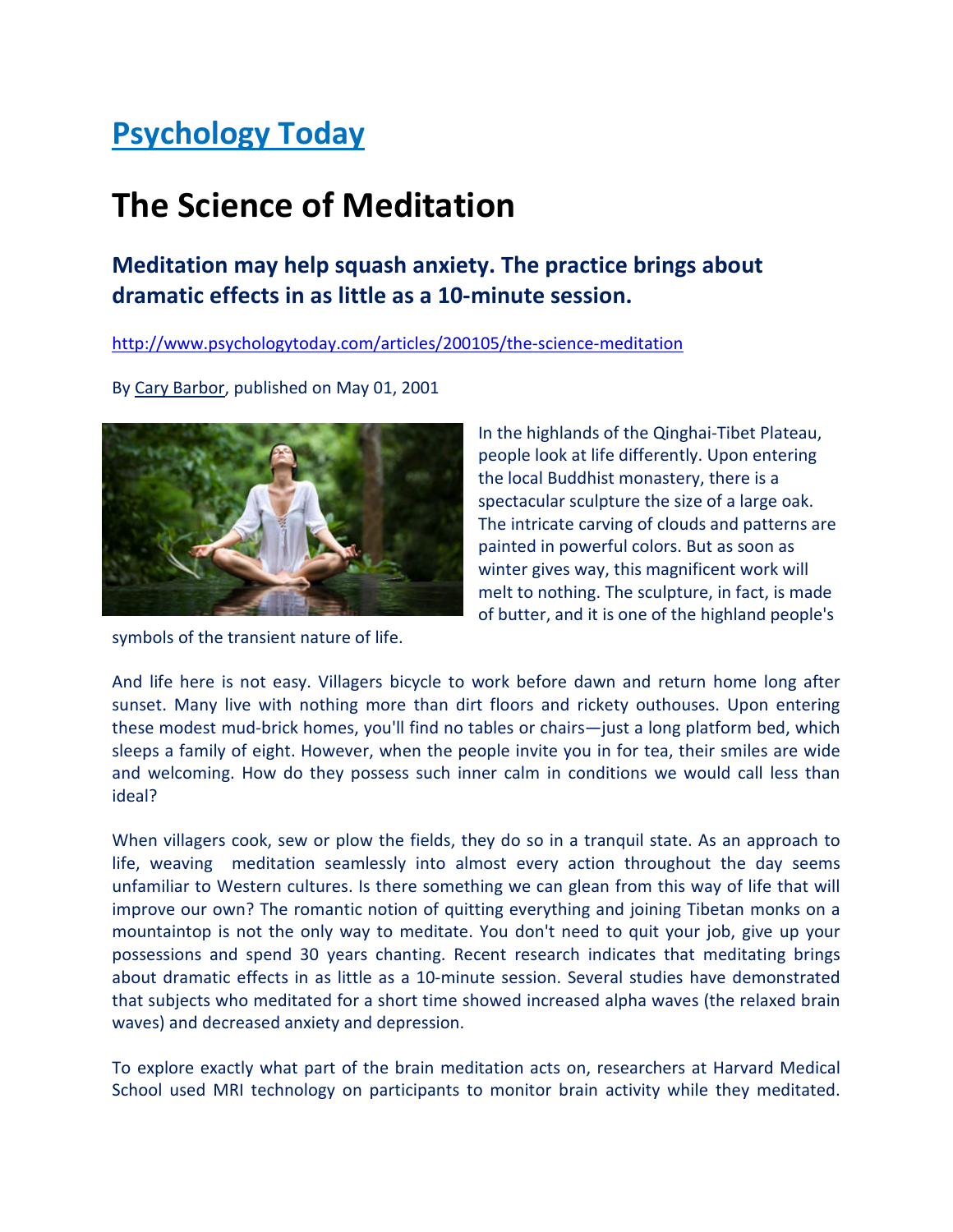## Psychology Today

# The Science of Meditation

### Meditation may help squash anxiety. The practice brings about dramatic effects in as little as a 10-minute session.

http://www.psychologytoday.com/articles/200105/the-science-meditation

By Cary Barbor, published on May 01, 2001



symbols of the transient nature of life.

In the highlands of the Qinghai-Tibet Plateau, people look at life differently. Upon entering the local Buddhist monastery, there is a spectacular sculpture the size of a large oak. The intricate carving of clouds and patterns are painted in powerful colors. But as soon as winter gives way, this magnificent work will melt to nothing. The sculpture, in fact, is made of butter, and it is one of the highland people's

And life here is not easy. Villagers bicycle to work before dawn and return home long after sunset. Many live with nothing more than dirt floors and rickety outhouses. Upon entering these modest mud-brick homes, you'll find no tables or chairs—just a long platform bed, which sleeps a family of eight. However, when the people invite you in for tea, their smiles are wide and welcoming. How do they possess such inner calm in conditions we would call less than ideal?

When villagers cook, sew or plow the fields, they do so in a tranquil state. As an approach to life, weaving meditation seamlessly into almost every action throughout the day seems unfamiliar to Western cultures. Is there something we can glean from this way of life that will improve our own? The romantic notion of quitting everything and joining Tibetan monks on a mountaintop is not the only way to meditate. You don't need to quit your job, give up your possessions and spend 30 years chanting. Recent research indicates that meditating brings about dramatic effects in as little as a 10-minute session. Several studies have demonstrated that subjects who meditated for a short time showed increased alpha waves (the relaxed brain waves) and decreased anxiety and depression.

To explore exactly what part of the brain meditation acts on, researchers at Harvard Medical School used MRI technology on participants to monitor brain activity while they meditated.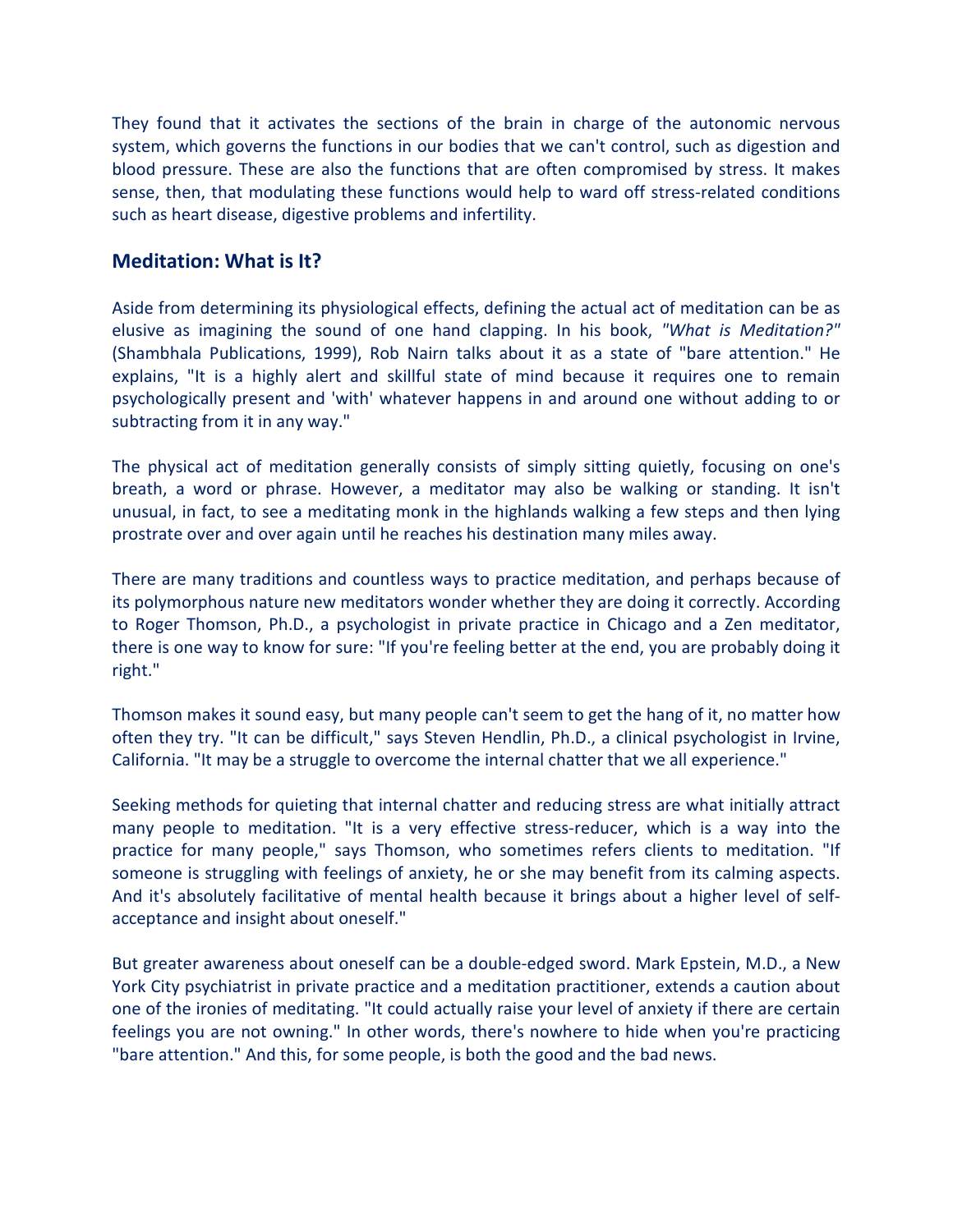They found that it activates the sections of the brain in charge of the autonomic nervous system, which governs the functions in our bodies that we can't control, such as digestion and blood pressure. These are also the functions that are often compromised by stress. It makes sense, then, that modulating these functions would help to ward off stress-related conditions such as heart disease, digestive problems and infertility.

#### Meditation: What is It?

Aside from determining its physiological effects, defining the actual act of meditation can be as elusive as imagining the sound of one hand clapping. In his book, "What is Meditation?" (Shambhala Publications, 1999), Rob Nairn talks about it as a state of "bare attention." He explains, "It is a highly alert and skillful state of mind because it requires one to remain psychologically present and 'with' whatever happens in and around one without adding to or subtracting from it in any way."

The physical act of meditation generally consists of simply sitting quietly, focusing on one's breath, a word or phrase. However, a meditator may also be walking or standing. It isn't unusual, in fact, to see a meditating monk in the highlands walking a few steps and then lying prostrate over and over again until he reaches his destination many miles away.

There are many traditions and countless ways to practice meditation, and perhaps because of its polymorphous nature new meditators wonder whether they are doing it correctly. According to Roger Thomson, Ph.D., a psychologist in private practice in Chicago and a Zen meditator, there is one way to know for sure: "If you're feeling better at the end, you are probably doing it right."

Thomson makes it sound easy, but many people can't seem to get the hang of it, no matter how often they try. "It can be difficult," says Steven Hendlin, Ph.D., a clinical psychologist in Irvine, California. "It may be a struggle to overcome the internal chatter that we all experience."

Seeking methods for quieting that internal chatter and reducing stress are what initially attract many people to meditation. "It is a very effective stress-reducer, which is a way into the practice for many people," says Thomson, who sometimes refers clients to meditation. "If someone is struggling with feelings of anxiety, he or she may benefit from its calming aspects. And it's absolutely facilitative of mental health because it brings about a higher level of selfacceptance and insight about oneself."

But greater awareness about oneself can be a double-edged sword. Mark Epstein, M.D., a New York City psychiatrist in private practice and a meditation practitioner, extends a caution about one of the ironies of meditating. "It could actually raise your level of anxiety if there are certain feelings you are not owning." In other words, there's nowhere to hide when you're practicing "bare attention." And this, for some people, is both the good and the bad news.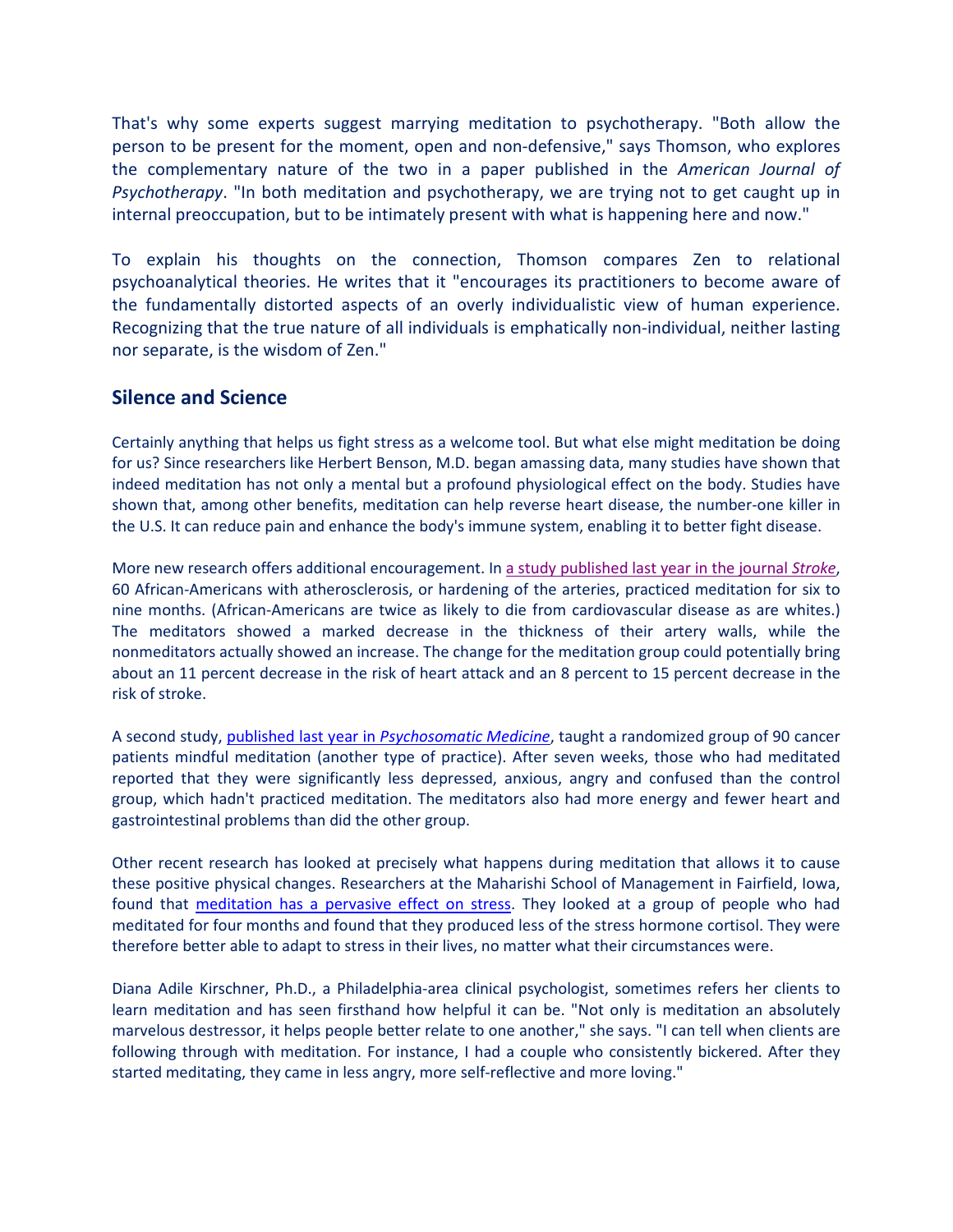That's why some experts suggest marrying meditation to psychotherapy. "Both allow the person to be present for the moment, open and non-defensive," says Thomson, who explores the complementary nature of the two in a paper published in the American Journal of Psychotherapy. "In both meditation and psychotherapy, we are trying not to get caught up in internal preoccupation, but to be intimately present with what is happening here and now."

To explain his thoughts on the connection, Thomson compares Zen to relational psychoanalytical theories. He writes that it "encourages its practitioners to become aware of the fundamentally distorted aspects of an overly individualistic view of human experience. Recognizing that the true nature of all individuals is emphatically non-individual, neither lasting nor separate, is the wisdom of Zen."

### Silence and Science

Certainly anything that helps us fight stress as a welcome tool. But what else might meditation be doing for us? Since researchers like Herbert Benson, M.D. began amassing data, many studies have shown that indeed meditation has not only a mental but a profound physiological effect on the body. Studies have shown that, among other benefits, meditation can help reverse heart disease, the number-one killer in the U.S. It can reduce pain and enhance the body's immune system, enabling it to better fight disease.

More new research offers additional encouragement. In a study published last year in the journal Stroke, 60 African-Americans with atherosclerosis, or hardening of the arteries, practiced meditation for six to nine months. (African-Americans are twice as likely to die from cardiovascular disease as are whites.) The meditators showed a marked decrease in the thickness of their artery walls, while the nonmeditators actually showed an increase. The change for the meditation group could potentially bring about an 11 percent decrease in the risk of heart attack and an 8 percent to 15 percent decrease in the risk of stroke.

A second study, published last year in Psychosomatic Medicine, taught a randomized group of 90 cancer patients mindful meditation (another type of practice). After seven weeks, those who had meditated reported that they were significantly less depressed, anxious, angry and confused than the control group, which hadn't practiced meditation. The meditators also had more energy and fewer heart and gastrointestinal problems than did the other group.

Other recent research has looked at precisely what happens during meditation that allows it to cause these positive physical changes. Researchers at the Maharishi School of Management in Fairfield, Iowa, found that meditation has a pervasive effect on stress. They looked at a group of people who had meditated for four months and found that they produced less of the stress hormone cortisol. They were therefore better able to adapt to stress in their lives, no matter what their circumstances were.

Diana Adile Kirschner, Ph.D., a Philadelphia-area clinical psychologist, sometimes refers her clients to learn meditation and has seen firsthand how helpful it can be. "Not only is meditation an absolutely marvelous destressor, it helps people better relate to one another," she says. "I can tell when clients are following through with meditation. For instance, I had a couple who consistently bickered. After they started meditating, they came in less angry, more self-reflective and more loving."